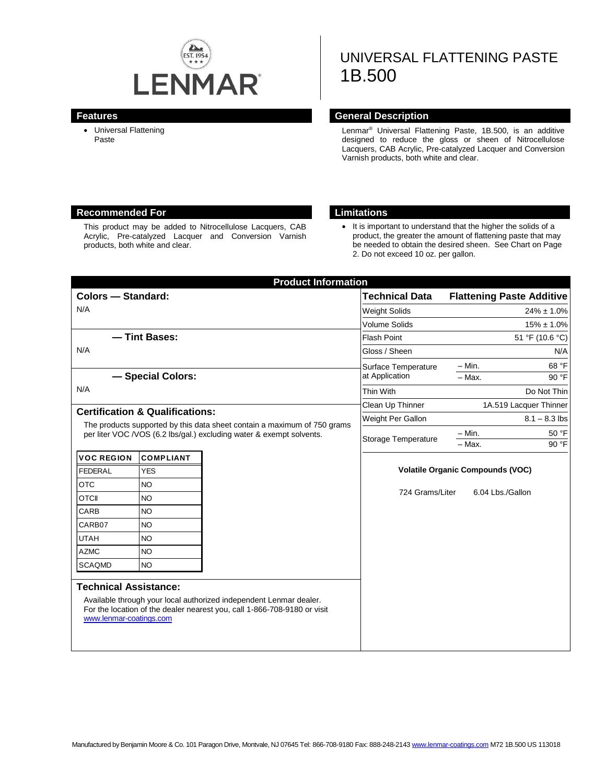

# UNIVERSAL FLATTENING PASTE 1B.500

 Universal Flattening Paste

#### **Features General Description**

Lenmar® Universal Flattening Paste, 1B.500, is an additive designed to reduce the gloss or sheen of Nitrocellulose Lacquers, CAB Acrylic, Pre-catalyzed Lacquer and Conversion Varnish products, both white and clear.

#### **Recommended For Limitations**

This product may be added to Nitrocellulose Lacquers, CAB Acrylic, Pre-catalyzed Lacquer and Conversion Varnish products, both white and clear.

• It is important to understand that the higher the solids of a product, the greater the amount of flattening paste that may be needed to obtain the desired sheen. See Chart on Page 2. Do not exceed 10 oz. per gallon.

| <b>Colors - Standard:</b>                                                                                                                                                                      |                  |                                                                                                                                                | <b>Technical Data</b>                 | <b>Flattening Paste Additive</b>        |                |  |
|------------------------------------------------------------------------------------------------------------------------------------------------------------------------------------------------|------------------|------------------------------------------------------------------------------------------------------------------------------------------------|---------------------------------------|-----------------------------------------|----------------|--|
| N/A                                                                                                                                                                                            |                  |                                                                                                                                                | <b>Weight Solids</b>                  | $24\% \pm 1.0\%$                        |                |  |
|                                                                                                                                                                                                |                  |                                                                                                                                                | <b>Volume Solids</b>                  | $15\% \pm 1.0\%$                        |                |  |
| - Tint Bases:                                                                                                                                                                                  |                  |                                                                                                                                                | <b>Flash Point</b>                    | 51 °F (10.6 °C)                         |                |  |
| N/A                                                                                                                                                                                            |                  |                                                                                                                                                | Gloss / Sheen                         | N/A                                     |                |  |
|                                                                                                                                                                                                |                  |                                                                                                                                                | Surface Temperature<br>at Application | - Min.                                  | 68 °F          |  |
| - Special Colors:                                                                                                                                                                              |                  |                                                                                                                                                |                                       | $-$ Max.                                | 90 °F          |  |
| N/A                                                                                                                                                                                            |                  |                                                                                                                                                | Thin With                             | Do Not Thin                             |                |  |
|                                                                                                                                                                                                |                  |                                                                                                                                                | Clean Up Thinner                      | 1A.519 Lacquer Thinner                  |                |  |
| <b>Certification &amp; Qualifications:</b><br>The products supported by this data sheet contain a maximum of 750 grams<br>per liter VOC /VOS (6.2 lbs/gal.) excluding water & exempt solvents. |                  |                                                                                                                                                | Weight Per Gallon                     | $8.1 - 8.3$ lbs                         |                |  |
|                                                                                                                                                                                                |                  |                                                                                                                                                | Storage Temperature                   | $-$ Min.<br>- Max.                      | 50 °F<br>90 °F |  |
| <b>VOC REGION</b>                                                                                                                                                                              | <b>COMPLIANT</b> |                                                                                                                                                |                                       |                                         |                |  |
| <b>FEDERAL</b>                                                                                                                                                                                 | <b>YES</b>       |                                                                                                                                                |                                       | <b>Volatile Organic Compounds (VOC)</b> |                |  |
| <b>OTC</b>                                                                                                                                                                                     | <b>NO</b>        |                                                                                                                                                |                                       |                                         |                |  |
| <b>OTCII</b>                                                                                                                                                                                   | <b>NO</b>        |                                                                                                                                                | 724 Grams/Liter                       | 6.04 Lbs./Gallon                        |                |  |
| CARB                                                                                                                                                                                           | <b>NO</b>        |                                                                                                                                                |                                       |                                         |                |  |
| CARB07                                                                                                                                                                                         | <b>NO</b>        |                                                                                                                                                |                                       |                                         |                |  |
| <b>UTAH</b>                                                                                                                                                                                    | <b>NO</b>        |                                                                                                                                                |                                       |                                         |                |  |
| <b>AZMC</b>                                                                                                                                                                                    | <b>NO</b>        |                                                                                                                                                |                                       |                                         |                |  |
| <b>SCAQMD</b>                                                                                                                                                                                  | <b>NO</b>        |                                                                                                                                                |                                       |                                         |                |  |
| <b>Technical Assistance:</b><br>www.lenmar-coatings.com                                                                                                                                        |                  | Available through your local authorized independent Lenmar dealer.<br>For the location of the dealer nearest you, call 1-866-708-9180 or visit |                                       |                                         |                |  |